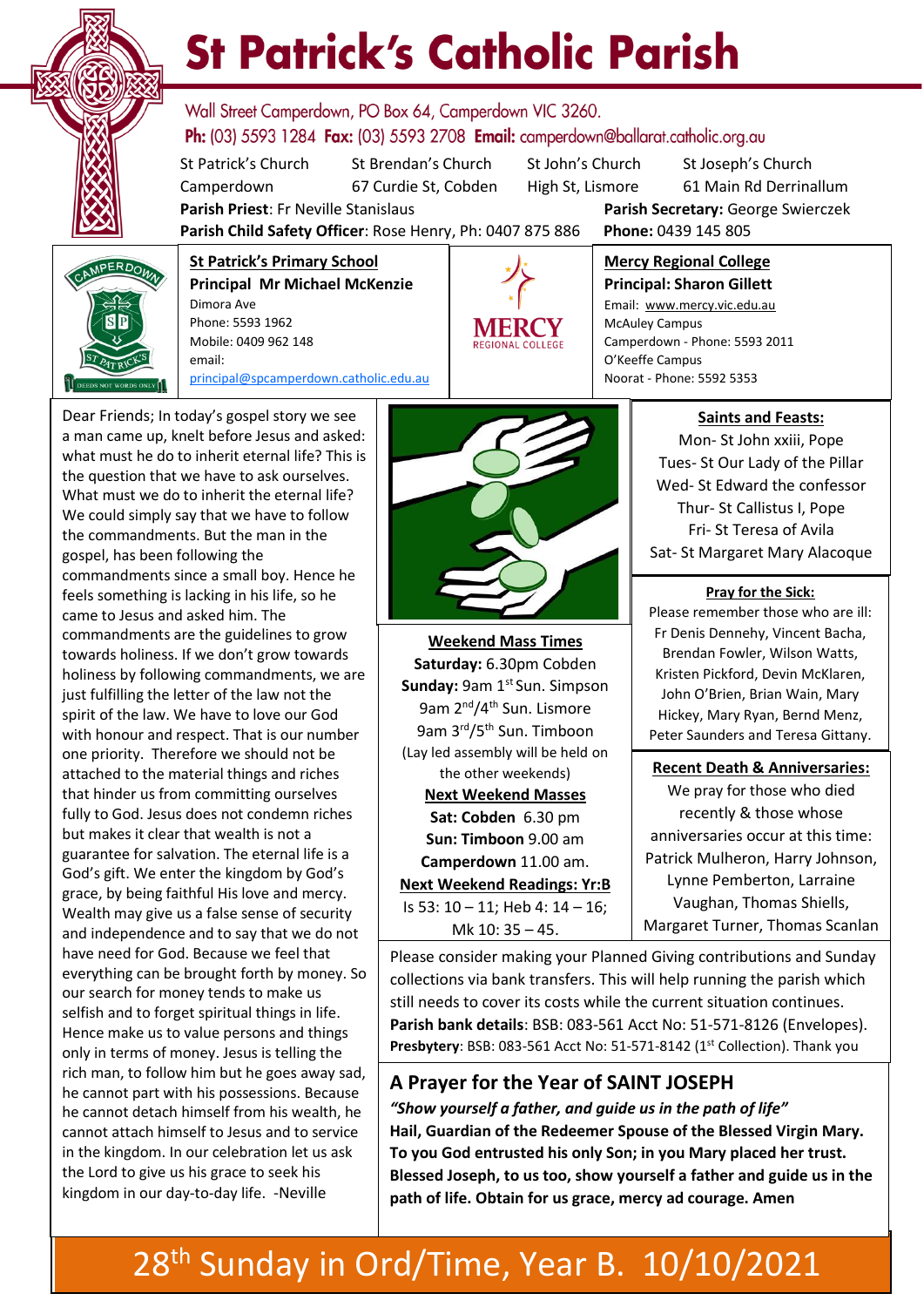

# **St Patrick's Catholic Parish**

Wall Street Camperdown, PO Box 64, Camperdown VIC 3260. **Ph:** (03) 5593 1284 **Fax:** (03) 5593 2708 **Email:** camperdown@ballarat.catholic.org.au

St Patrick's Church St Brendan's Church St John's Church St Joseph's Church Camperdown 67 Curdie St, Cobden High St, Lismore 61 Main Rd Derrinallum

**Parish Priest**: Fr Neville Stanislaus **Parish Secretary:** George Swierczek

**Parish Child Safety Officer**: Rose Henry, Ph: 0407 875 886 **Phone:** 0439 145 805



**St Patrick's Primary School Principal Mr Michael McKenzie**  Dimora Ave Phone: 5593 1962 Mobile: 0409 962 148 email: [principal@spcamperdown.catholic.edu.au](mailto:principal@spcamperdown.catholic.edu.auu)

but makes it clear that wealth is not a . Wealth may give us a false sense of security Dear Friends; In today's gospel story we see a man came up, knelt before Jesus and asked: what must he do to inherit eternal life? This is the question that we have to ask ourselves. What must we do to inherit the eternal life? We could simply say that we have to follow the commandments. But the man in the gospel, has been following the commandments since a small boy. Hence he feels something is lacking in his life, so he came to Jesus and asked him. The commandments are the guidelines to grow towards holiness. If we don't grow towards holiness by following commandments, we are just fulfilling the letter of the law not the spirit of the law. We have to love our God with honour and respect. That is our number one priority. Therefore we should not be attached to the material things and riches that hinder us from committing ourselves fully to God. Jesus does not condemn riches guarantee for salvation. The eternal life is a God's gift. We enter the kingdom by God's grace, by being faithful His love and mercy. and independence and to say that we do not have need for God. Because we feel that everything can be brought forth by money. So our search for money tends to make us selfish and to forget spiritual things in life. Hence make us to value persons and things only in terms of money. Jesus is telling the rich man, to follow him but he goes away sad, he cannot part with his possessions. Because he cannot detach himself from his wealth, he cannot attach himself to Jesus and to service in the kingdom. In our celebration let us ask the Lord to give us his grace to seek his kingdom in our day-to-day life. -Neville



**Weekend Mass Times Saturday:** 6.30pm Cobden **Sunday: 9am 1st Sun. Simpson** 9am 2<sup>nd</sup>/4<sup>th</sup> Sun. Lismore 9am 3rd/5th Sun. Timboon (Lay led assembly will be held on the other weekends) **Next Weekend Masses Sat: Cobden** 6.30 pm **Sun: Timboon** 9.00 am **Camperdown** 11.00 am. **Next Weekend Readings: Yr:B** Is 53: 10 – 11; Heb 4: 14 – 16; Mk 10: 35 – 45.

O'Keeffe Campus Noorat - Phone: 5592 5353

**Mercy Regional College Principal: Sharon Gillett** Email: www.mercy.vic.edu.au

Camperdown - Phone: 5593 2011

McAuley Campus

**Saints and Feasts:** Mon- St John xxiii, Pope Tues- St Our Lady of the Pillar Wed- St Edward the confessor Thur- St Callistus I, Pope Fri- St Teresa of Avila Sat- St Margaret Mary Alacoque

#### **Pray for the Sick:**

Please remember those who are ill: Fr Denis Dennehy, Vincent Bacha, Brendan Fowler, Wilson Watts, Kristen Pickford, Devin McKlaren, John O'Brien, Brian Wain, Mary Hickey, Mary Ryan, Bernd Menz, Peter Saunders and Teresa Gittany.

 **Recent Death & Anniversaries:** We pray for those who died recently & those whose anniversaries occur at this time: Patrick Mulheron, Harry Johnson, Lynne Pemberton, Larraine Vaughan, Thomas Shiells, Margaret Turner, Thomas Scanlan

Please consider making your Planned Giving contributions and Sunday collections via bank transfers. This will help running the parish which still needs to cover its costs while the current situation continues. **Parish bank details**: BSB: 083-561 Acct No: 51-571-8126 (Envelopes). Presbytery: BSB: 083-561 Acct No: 51-571-8142 (1<sup>st</sup> Collection). Thank you

#### **A Prayer for the Year of SAINT JOSEPH**

*"Show yourself a father, and guide us in the path of life"* **Hail, Guardian of the Redeemer Spouse of the Blessed Virgin Mary. To you God entrusted his only Son; in you Mary placed her trust. Blessed Joseph, to us too, show yourself a father and guide us in the path of life. Obtain for us grace, mercy ad courage. Amen**

### 28<sup>th</sup> Sunday in Ord/Time, Year B. 10/10/2021 6.00 pm Cobden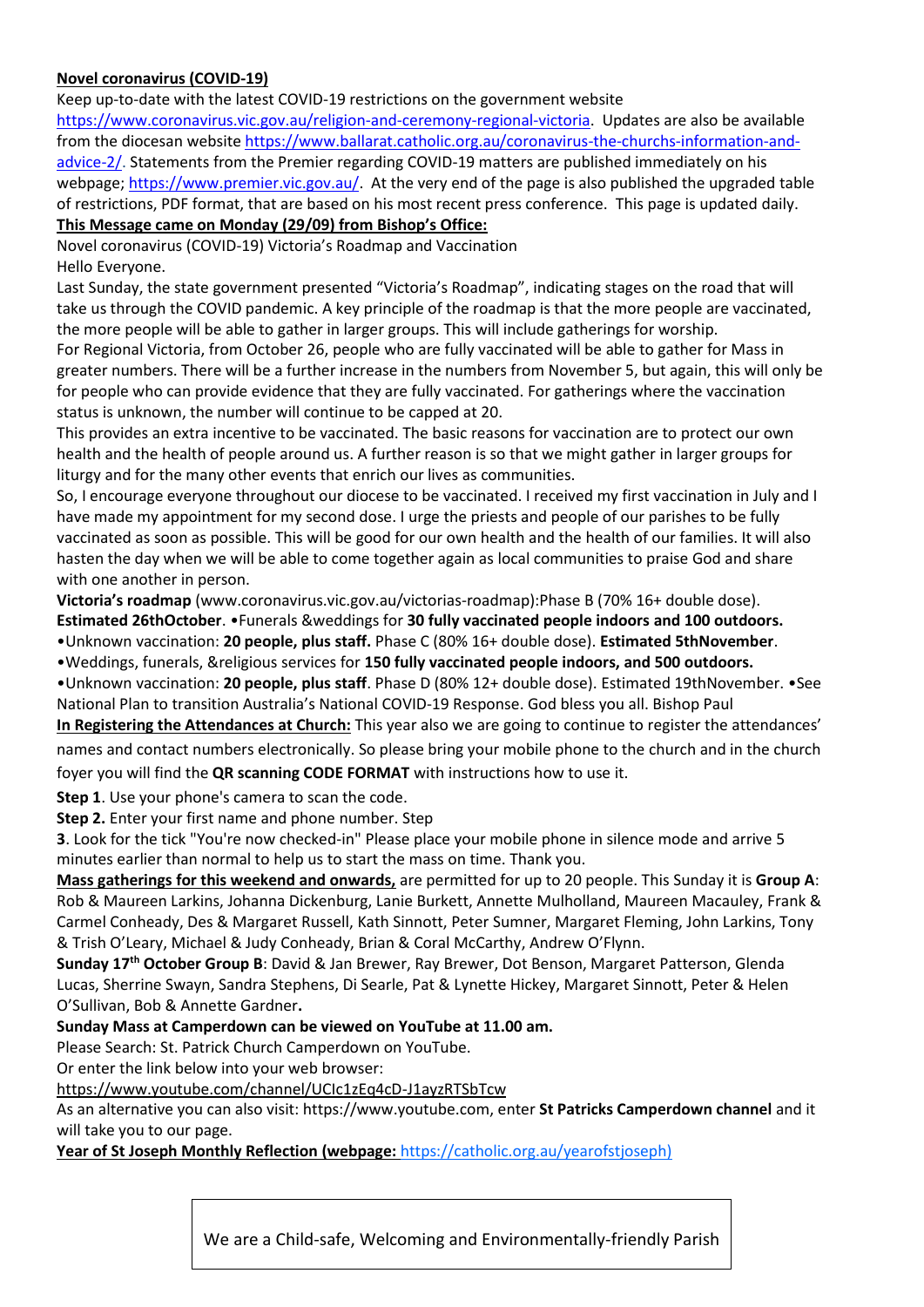#### **Novel coronavirus (COVID-19)**

Keep up-to-date with the latest COVID-19 restrictions on the government website

[https://www.coronavirus.vic.gov.au/religion-and-ceremony-regional-victoria.](https://www.coronavirus.vic.gov.au/religion-and-ceremony-regional-victoria) Updates are also be available from the diocesan website [https://www.ballarat.catholic.org.au/coronavirus-the-churchs-information-and](https://www.ballarat.catholic.org.au/coronavirus-the-churchs-information-and-advice-2/)[advice-2/.](https://www.ballarat.catholic.org.au/coronavirus-the-churchs-information-and-advice-2/) Statements from the Premier regarding COVID-19 matters are published immediately on his webpage; [https://www.premier.vic.gov.au/.](https://www.premier.vic.gov.au/) At the very end of the page is also published the upgraded table of restrictions, PDF format, that are based on his most recent press conference. This page is updated daily.

#### **This Message came on Monday (29/09) from Bishop's Office:**

Novel coronavirus (COVID-19) Victoria's Roadmap and Vaccination Hello Everyone.

Last Sunday, the state government presented "Victoria's Roadmap", indicating stages on the road that will take us through the COVID pandemic. A key principle of the roadmap is that the more people are vaccinated, the more people will be able to gather in larger groups. This will include gatherings for worship.

For Regional Victoria, from October 26, people who are fully vaccinated will be able to gather for Mass in greater numbers. There will be a further increase in the numbers from November 5, but again, this will only be for people who can provide evidence that they are fully vaccinated. For gatherings where the vaccination status is unknown, the number will continue to be capped at 20.

This provides an extra incentive to be vaccinated. The basic reasons for vaccination are to protect our own health and the health of people around us. A further reason is so that we might gather in larger groups for liturgy and for the many other events that enrich our lives as communities.

So, I encourage everyone throughout our diocese to be vaccinated. I received my first vaccination in July and I have made my appointment for my second dose. I urge the priests and people of our parishes to be fully vaccinated as soon as possible. This will be good for our own health and the health of our families. It will also hasten the day when we will be able to come together again as local communities to praise God and share with one another in person.

**Victoria's roadmap** (www.coronavirus.vic.gov.au/victorias-roadmap):Phase B (70% 16+ double dose). **Estimated 26thOctober**. •Funerals &weddings for **30 fully vaccinated people indoors and 100 outdoors.** •Unknown vaccination: **20 people, plus staff.** Phase C (80% 16+ double dose). **Estimated 5thNovember**.

•Weddings, funerals, &religious services for **150 fully vaccinated people indoors, and 500 outdoors.**

•Unknown vaccination: **20 people, plus staff**. Phase D (80% 12+ double dose). Estimated 19thNovember. •See National Plan to transition Australia's National COVID-19 Response. God bless you all. Bishop Paul **In Registering the Attendances at Church:** This year also we are going to continue to register the attendances'

names and contact numbers electronically. So please bring your mobile phone to the church and in the church foyer you will find the **QR scanning CODE FORMAT** with instructions how to use it.

**Step 1**. Use your phone's camera to scan the code.

**Step 2.** Enter your first name and phone number. Step

**3**. Look for the tick "You're now checked-in" Please place your mobile phone in silence mode and arrive 5 minutes earlier than normal to help us to start the mass on time. Thank you.

**Mass gatherings for this weekend and onwards,** are permitted for up to 20 people. This Sunday it is **Group A**: Rob & Maureen Larkins, Johanna Dickenburg, Lanie Burkett, Annette Mulholland, Maureen Macauley, Frank & Carmel Conheady, Des & Margaret Russell, Kath Sinnott, Peter Sumner, Margaret Fleming, John Larkins, Tony & Trish O'Leary, Michael & Judy Conheady, Brian & Coral McCarthy, Andrew O'Flynn.

**Sunday 17th October Group B**: David & Jan Brewer, Ray Brewer, Dot Benson, Margaret Patterson, Glenda Lucas, Sherrine Swayn, Sandra Stephens, Di Searle, Pat & Lynette Hickey, Margaret Sinnott, Peter & Helen O'Sullivan, Bob & Annette Gardner**.**

#### **Sunday Mass at Camperdown can be viewed on YouTube at 11.00 am.**

Please Search: St. Patrick Church Camperdown on YouTube.

Or enter the link below into your web browser:

#### <https://www.youtube.com/channel/UCIc1zEq4cD-J1ayzRTSbTcw>

As an alternative you can also visit: https://www.youtube.com, enter **St Patricks Camperdown channel** and it will take you to our page.

**Year of St Joseph Monthly Reflection (webpage:** [https://catholic.org.au/yearofstjoseph\)](https://catholic.org.au/yearofstjoseph)

We are a Child-safe, Welcoming and Environmentally-friendly Parish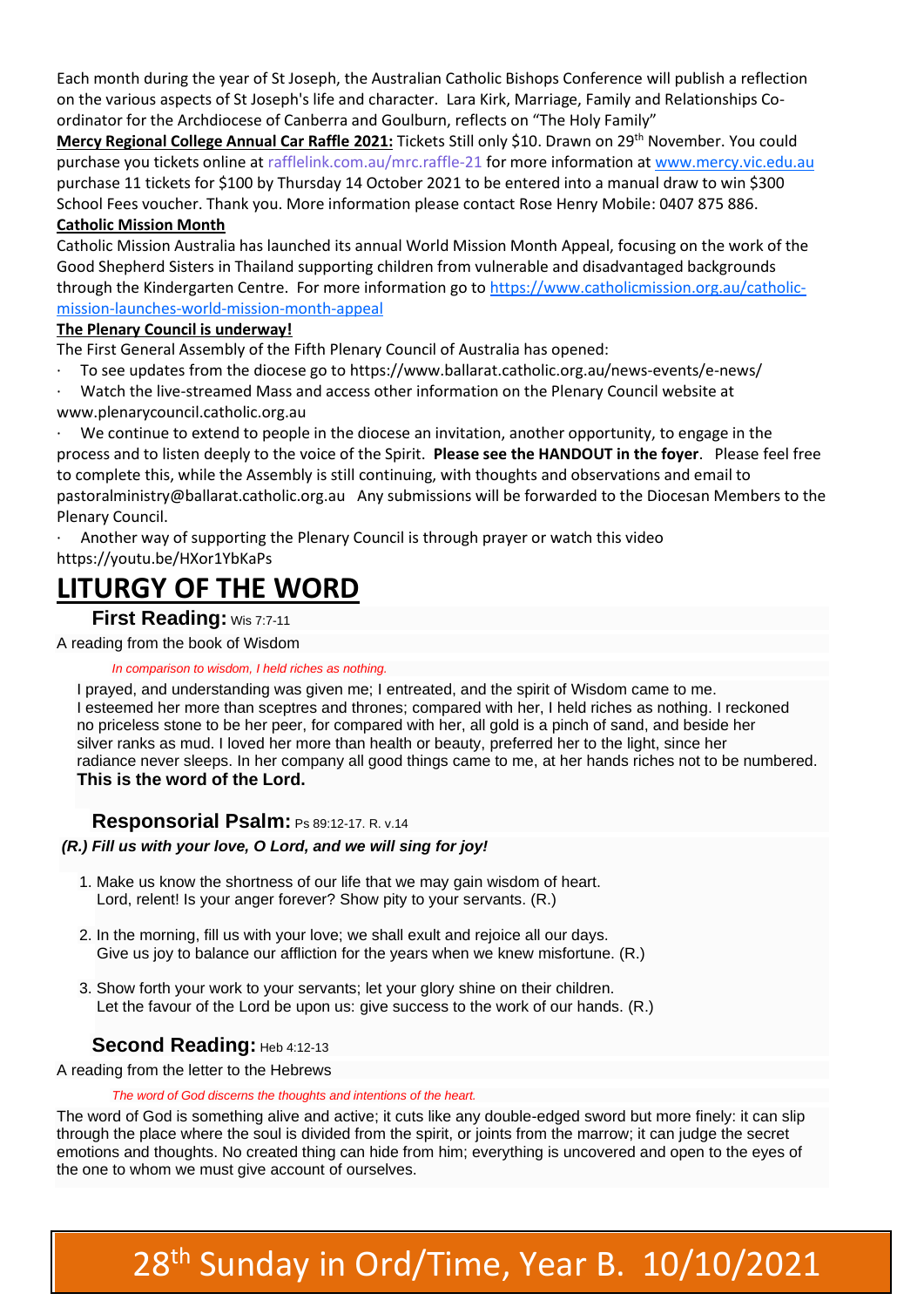Each month during the year of St Joseph, the Australian Catholic Bishops Conference will publish a reflection on the various aspects of St Joseph's life and character. Lara Kirk, Marriage, Family and Relationships Coordinator for the Archdiocese of Canberra and Goulburn, reflects on "The Holy Family"

**Mercy Regional College Annual Car Raffle 2021:** Tickets Still only \$10. Drawn on 29th November. You could purchase you tickets online at rafflelink.com.au/mrc.raffle-21 for more information at [www.mercy.vic.edu.au](http://www.mercy.vic.edu.au/) purchase 11 tickets for \$100 by Thursday 14 October 2021 to be entered into a manual draw to win \$300 School Fees voucher. Thank you. More information please contact Rose Henry Mobile: 0407 875 886.

#### **Catholic Mission Month**

Catholic Mission Australia has launched its annual World Mission Month Appeal, focusing on the work of the Good Shepherd Sisters in Thailand supporting children from vulnerable and disadvantaged backgrounds through the Kindergarten Centre. For more information go t[o https://www.catholicmission.org.au/catholic](https://www.catholicmission.org.au/catholic-mission-launches-world-mission-month-appeal)[mission-launches-world-mission-month-appeal](https://www.catholicmission.org.au/catholic-mission-launches-world-mission-month-appeal)

#### **The Plenary Council is underway!**

The First General Assembly of the Fifth Plenary Council of Australia has opened:

· To see updates from the diocese go to<https://www.ballarat.catholic.org.au/news-events/e-news/>

Watch the live-streamed Mass and access other information on the Plenary Council website at [www.plenarycouncil.catholic.org.au](http://www.plenarycouncil.catholic.org.au/)

We continue to extend to people in the diocese an invitation, another opportunity, to engage in the process and to listen deeply to the voice of the Spirit. **Please see the HANDOUT in the foyer**. Please feel free to complete this, while the Assembly is still continuing, with thoughts and observations and email to [pastoralministry@ballarat.catholic.org.au](mailto:pastoralministry@ballarat.catholic.org.au) Any submissions will be forwarded to the Diocesan Members to the Plenary Council.

· Another way of supporting the Plenary Council is through prayer or watch this video <https://youtu.be/HXor1YbKaPs>

## **LITURGY OF THE WORD**

#### **First Reading:** [Wis 7:7-11](https://liturgyhelp.com/ritual/lectionary/LectionaryList%7Cwis#wis007)

A reading from the book of Wisdom

#### *In comparison to wisdom, I held riches as nothing.*

I prayed, and understanding was given me; I entreated, and the spirit of Wisdom came to me. I esteemed her more than sceptres and thrones; compared with her, I held riches as nothing. I reckoned no priceless stone to be her peer, for compared with her, all gold is a pinch of sand, and beside her silver ranks as mud. I loved her more than health or beauty, preferred her to the light, since her radiance never sleeps. In her company all good things came to me, at her hands riches not to be numbered.

#### **This is the word of the Lord.**

#### **Responsorial Psalm:** [Ps 89:12-17. R. v.14](https://liturgyhelp.com/ritual/lectionary/LectionaryListPsalm%7Cpsm)

#### *(R.) Fill us with your love, O Lord, and we will sing for joy!*

- 1. Make us know the shortness of our life that we may gain wisdom of heart. Lord, relent! Is your anger forever? Show pity to your servants. (R.)
- 2. In the morning, fill us with your love; we shall exult and rejoice all our days. Give us joy to balance our affliction for the years when we knew misfortune. (R.)
- 3. Show forth your work to your servants; let your glory shine on their children. Let the favour of the Lord be upon us: give success to the work of our hands. (R.)

#### **Second Reading:** [Heb 4:12-13](https://liturgyhelp.com/ritual/lectionary/LectionaryList%7Cheb#heb004)

A reading from the letter to the Hebrews

#### *The word of God discerns the thoughts and intentions of the heart.*

The word of God is something alive and active; it cuts like any double-edged sword but more finely: it can slip through the place where the soul is divided from the spirit, or joints from the marrow; it can judge the secret emotions and thoughts. No created thing can hide from him; everything is uncovered and open to the eyes of the one to whom we must give account of ourselves.

# 28<sup>th</sup> Sunday in Ord/Time, Year B. 10/10/2021